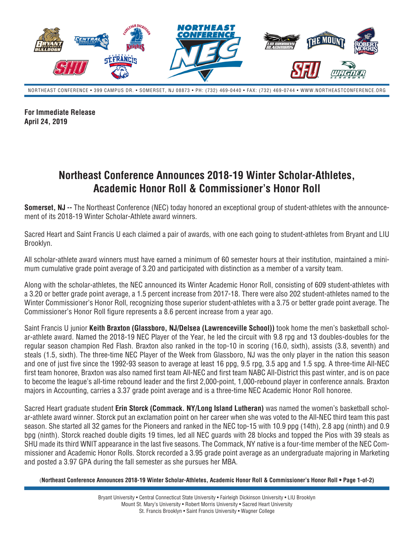

NORTHEAST CONFERENCE • 399 CAMPUS DR. • SOMERSET, NJ 08873 • PH: (732) 469-0440 • FAX: (732) 469-0744 • WWW.NORTHEASTCONFERENCE.ORG

**For Immediate Release April 24, 2019**

## **Northeast Conference Announces 2018-19 Winter Scholar-Athletes, Academic Honor Roll & Commissioner's Honor Roll**

**Somerset, NJ --** The Northeast Conference (NEC) today honored an exceptional group of student-athletes with the announcement of its 2018-19 Winter Scholar-Athlete award winners.

Sacred Heart and Saint Francis U each claimed a pair of awards, with one each going to student-athletes from Bryant and LIU Brooklyn.

All scholar-athlete award winners must have earned a minimum of 60 semester hours at their institution, maintained a minimum cumulative grade point average of 3.20 and participated with distinction as a member of a varsity team.

Along with the scholar-athletes, the NEC announced its Winter Academic Honor Roll, consisting of 609 student-athletes with a 3.20 or better grade point average, a 1.5 percent increase from 2017-18. There were also 202 student-athletes named to the Winter Commissioner's Honor Roll, recognizing those superior student-athletes with a 3.75 or better grade point average. The Commissioner's Honor Roll figure represents a 8.6 percent increase from a year ago.

Saint Francis U junior **Keith Braxton (Glassboro, NJ/Delsea (Lawrenceville School))** took home the men's basketball scholar-athlete award. Named the 2018-19 NEC Player of the Year, he led the circuit with 9.8 rpg and 13 doubles-doubles for the regular season champion Red Flash. Braxton also ranked in the top-10 in scoring (16.0, sixth), assists (3.8, seventh) and steals (1.5, sixth). The three-time NEC Player of the Week from Glassboro, NJ was the only player in the nation this season and one of just five since the 1992-93 season to average at least 16 ppg, 9.5 rpg, 3.5 apg and 1.5 spg. A three-time All-NEC first team honoree, Braxton was also named first team All-NEC and first team NABC All-District this past winter, and is on pace to become the league's all-time rebound leader and the first 2,000-point, 1,000-rebound player in conference annals. Braxton majors in Accounting, carries a 3.37 grade point average and is a three-time NEC Academic Honor Roll honoree.

Sacred Heart graduate student **Erin Storck (Commack. NY/Long Island Lutheran)** was named the women's basketball scholar-athlete award winner. Storck put an exclamation point on her career when she was voted to the All-NEC third team this past season. She started all 32 games for the Pioneers and ranked in the NEC top-15 with 10.9 ppg (14th), 2.8 apg (ninth) and 0.9 bpg (ninth). Storck reached double digits 19 times, led all NEC guards with 28 blocks and topped the Pios with 39 steals as SHU made its third WNIT appearance in the last five seasons. The Commack, NY native is a four-time member of the NEC Commissioner and Academic Honor Rolls. Storck recorded a 3.95 grade point average as an undergraduate majoring in Marketing and posted a 3.97 GPA during the fall semester as she pursues her MBA.

(**Northeast Conference Announces 2018-19 Winter Scholar-Athletes, Academic Honor Roll & Commissioner's Honor Roll • Page 1-of-2)**